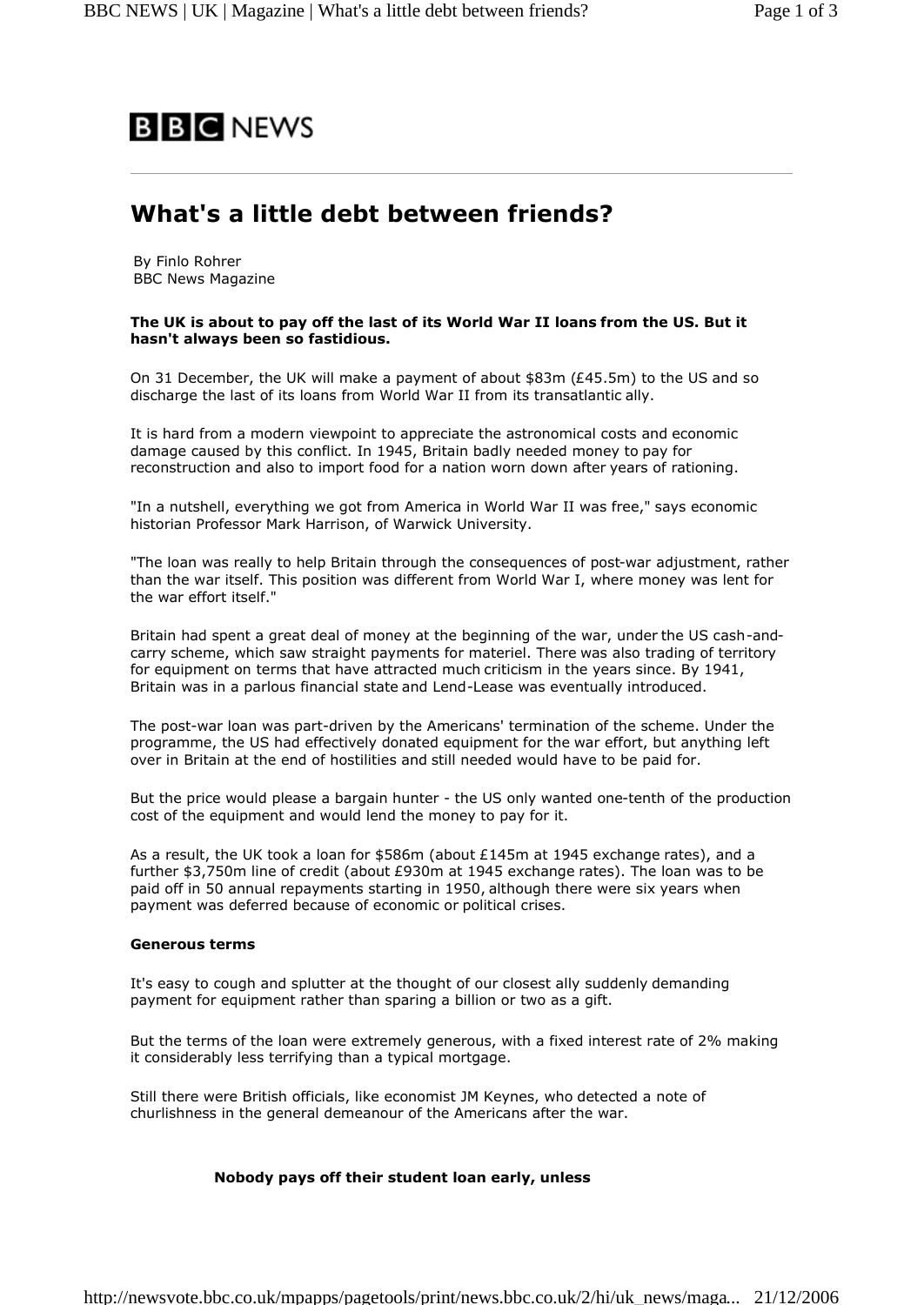

# **What's a little debt between friends?**

By Finlo Rohrer BBC News Magazine

## **The UK is about to pay off the last of its World War II loans from the US. But it hasn't always been so fastidious.**

On 31 December, the UK will make a payment of about \$83m (£45.5m) to the US and so discharge the last of its loans from World War II from its transatlantic ally.

It is hard from a modern viewpoint to appreciate the astronomical costs and economic damage caused by this conflict. In 1945, Britain badly needed money to pay for reconstruction and also to import food for a nation worn down after years of rationing.

"In a nutshell, everything we got from America in World War II was free," says economic historian Professor Mark Harrison, of Warwick University.

"The loan was really to help Britain through the consequences of post-war adjustment, rather than the war itself. This position was different from World War I, where money was lent for the war effort itself."

Britain had spent a great deal of money at the beginning of the war, under the US cash-andcarry scheme, which saw straight payments for materiel. There was also trading of territory for equipment on terms that have attracted much criticism in the years since. By 1941, Britain was in a parlous financial state and Lend-Lease was eventually introduced.

The post-war loan was part-driven by the Americans' termination of the scheme. Under the programme, the US had effectively donated equipment for the war effort, but anything left over in Britain at the end of hostilities and still needed would have to be paid for.

But the price would please a bargain hunter - the US only wanted one-tenth of the production cost of the equipment and would lend the money to pay for it.

As a result, the UK took a loan for \$586m (about £145m at 1945 exchange rates), and a further \$3,750m line of credit (about £930m at 1945 exchange rates). The loan was to be paid off in 50 annual repayments starting in 1950, although there were six years when payment was deferred because of economic or political crises.

# **Generous terms**

It's easy to cough and splutter at the thought of our closest ally suddenly demanding payment for equipment rather than sparing a billion or two as a gift.

But the terms of the loan were extremely generous, with a fixed interest rate of 2% making it considerably less terrifying than a typical mortgage.

Still there were British officials, like economist JM Keynes, who detected a note of churlishness in the general demeanour of the Americans after the war.

# **Nobody pays off their student loan early, unless**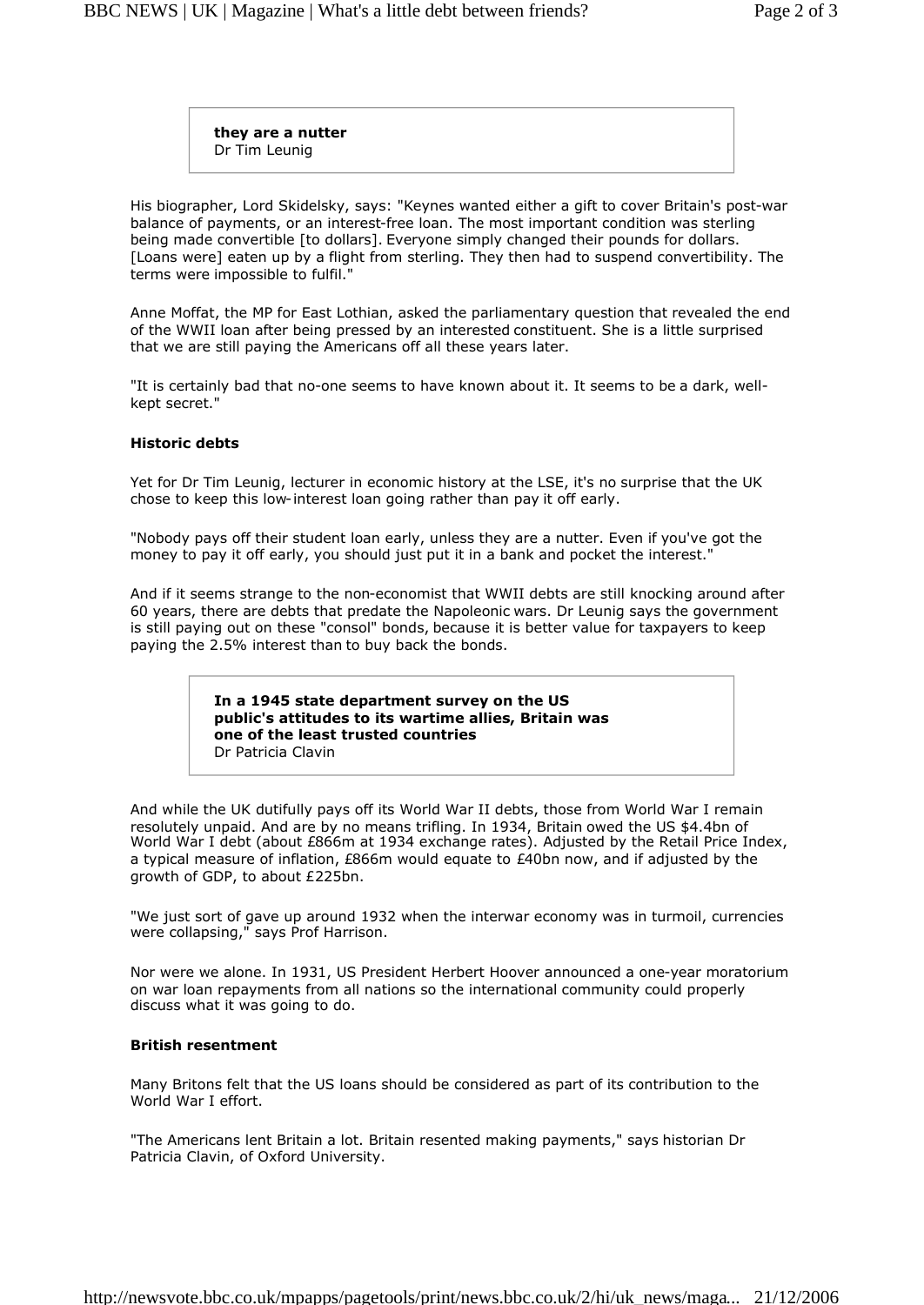**they are a nutter** Dr Tim Leunig

His biographer, Lord Skidelsky, says: "Keynes wanted either a gift to cover Britain's post-war balance of payments, or an interest-free loan. The most important condition was sterling being made convertible [to dollars]. Everyone simply changed their pounds for dollars. [Loans were] eaten up by a flight from sterling. They then had to suspend convertibility. The terms were impossible to fulfil."

Anne Moffat, the MP for East Lothian, asked the parliamentary question that revealed the end of the WWII loan after being pressed by an interested constituent. She is a little surprised that we are still paying the Americans off all these years later.

"It is certainly bad that no-one seems to have known about it. It seems to be a dark, wellkept secret."

### **Historic debts**

Yet for Dr Tim Leunig, lecturer in economic history at the LSE, it's no surprise that the UK chose to keep this low-interest loan going rather than pay it off early.

"Nobody pays off their student loan early, unless they are a nutter. Even if you've got the money to pay it off early, you should just put it in a bank and pocket the interest."

And if it seems strange to the non-economist that WWII debts are still knocking around after 60 years, there are debts that predate the Napoleonic wars. Dr Leunig says the government is still paying out on these "consol" bonds, because it is better value for taxpayers to keep paying the 2.5% interest than to buy back the bonds.

> **In a 1945 state department survey on the US public's attitudes to its wartime allies, Britain was one of the least trusted countries** Dr Patricia Clavin

And while the UK dutifully pays off its World War II debts, those from World War I remain resolutely unpaid. And are by no means trifling. In 1934, Britain owed the US \$4.4bn of World War I debt (about £866m at 1934 exchange rates). Adjusted by the Retail Price Index, a typical measure of inflation, £866m would equate to £40bn now, and if adjusted by the growth of GDP, to about £225bn.

"We just sort of gave up around 1932 when the interwar economy was in turmoil, currencies were collapsing," says Prof Harrison.

Nor were we alone. In 1931, US President Herbert Hoover announced a one-year moratorium on war loan repayments from all nations so the international community could properly discuss what it was going to do.

#### **British resentment**

Many Britons felt that the US loans should be considered as part of its contribution to the World War I effort.

"The Americans lent Britain a lot. Britain resented making payments," says historian Dr Patricia Clavin, of Oxford University.